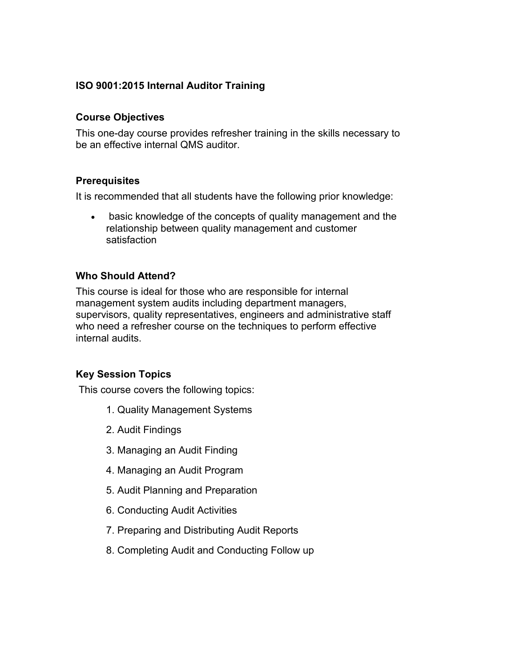# **ISO 9001:2015 Internal Auditor Training**

### **Course Objectives**

This one-day course provides refresher training in the skills necessary to be an effective internal QMS auditor.

#### **Prerequisites**

It is recommended that all students have the following prior knowledge:

• basic knowledge of the concepts of quality management and the relationship between quality management and customer satisfaction

### **Who Should Attend?**

This course is ideal for those who are responsible for internal management system audits including department managers, supervisors, quality representatives, engineers and administrative staff who need a refresher course on the techniques to perform effective internal audits.

### **Key Session Topics**

This course covers the following topics:

- 1. Quality Management Systems
- 2. Audit Findings
- 3. Managing an Audit Finding
- 4. Managing an Audit Program
- 5. Audit Planning and Preparation
- 6. Conducting Audit Activities
- 7. Preparing and Distributing Audit Reports
- 8. Completing Audit and Conducting Follow up